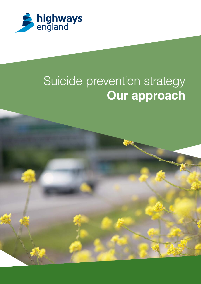

# Suicide prevention strategy **Our approach**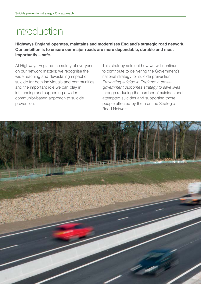# Introduction

**Highways England operates, maintains and modernises England's strategic road network. Our ambition is to ensure our major roads are more dependable, durable and most importantly – safe.**

At Highways England the safety of everyone on our network matters; we recognise the wide reaching and devastating impact of suicide for both individuals and communities and the important role we can play in influencing and supporting a wider community-based approach to suicide prevention.

This strategy sets out how we will continue to contribute to delivering the Government's national strategy for suicide prevention Preventing suicide in England: a crossgovernment outcomes strategy to save lives through reducing the number of suicides and attempted suicides and supporting those people affected by them on the Strategic Road Network.

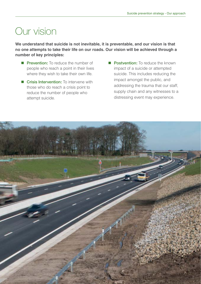# Our vision

**We understand that suicide is not inevitable, it is preventable, and our vision is that no one attempts to take their life on our roads. Our vision will be achieved through a number of key principles:**

- **Prevention:** To reduce the number of people who reach a point in their lives where they wish to take their own life.
- **E** Crisis Intervention: To intervene with those who do reach a crisis point to reduce the number of people who attempt suicide.
- **Postvention:** To reduce the known impact of a suicide or attempted suicide. This includes reducing the impact amongst the public, and addressing the trauma that our staff, supply chain and any witnesses to a distressing event may experience.

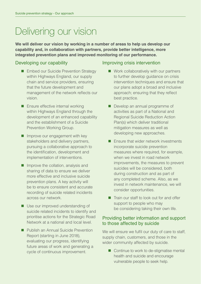# Delivering our vision

**We will deliver our vision by working in a number of areas to help us develop our capability and, in collaboration with partners, provide better intelligence, more integrated prevention plans and improved monitoring of our performance.**

#### Developing our capability

- **Embed our Suicide Prevention Strategy** within Highways England, our supply chain and service providers, ensuring that the future development and management of the network reflects our vision.
- **Ensure effective internal working** within Highways England through the development of an enhanced capability and the establishment of a Suicide Prevention Working Group.
- **Improve our engagement with key** stakeholders and delivery partners, pursuing a collaborative approach to the identification, development and implementation of interventions.
- $\blacksquare$  Improve the collation, analysis and sharing of data to ensure we deliver more effective and inclusive suicide prevention plans. A key activity will be to ensure consistent and accurate recording of suicide related incidents across our network.
- Use our improved understanding of suicide related incidents to identify and prioritise actions for the Strategic Road Network at a national and local level.
- **Publish an Annual Suicide Prevention** Report (starting in June 2018), evaluating our progress, identifying future areas of work and generating a cycle of continuous improvement.

#### Improving crisis intervention

- Work collaboratively with our partners to further develop guidance on crisis intervention techniques and ensure that our plans adopt a broad and inclusive approach; ensuring that they reflect best practice.
- Develop an annual programme of activities as part of a National and Regional Suicide Reduction Action Plan(s) which deliver traditional mitigation measures as well as developing new approaches.
- **E** Ensure that wider network investments incorporate suicide prevention measures where required, for example, when we invest in road network improvements, the measures to prevent suicides will be considered, both during construction and as part of any completed scheme. Also, as we invest in network maintenance, we will consider opportunities.
- **T** Train our staff to look out for and offer support to people who may be considering taking their own life.

#### Providing better information and support to those affected by suicide

We will ensure we fulfil our duty of care to staff, supply chain, customers, and those in the wider community affected by suicide.

■ Continue to work to de-stigmatise mental health and suicide and encourage vulnerable people to seek help.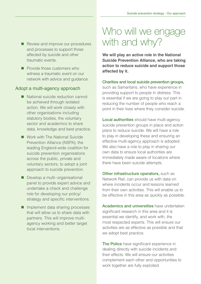- Review and improve our procedures and processes to support those affected by suicide and other traumatic events.
- **Provide those customers who** witness a traumatic event on our network with advice and guidance.

#### Adopt a multi-agency approach

- National suicide reduction cannot be achieved through isolated action. We will work closely with other organisations including statutory bodies, the voluntary sector and academics to share data, knowledge and best practice.
- Work with The National Suicide Prevention Alliance (NSPA), the leading England-wide coalition for suicide prevention organisations across the public, private and voluntary sectors, to adopt a joint approach to suicide prevention.
- Develop a multi-organisational panel to provide expert advice and undertake a check and challenge role for developing our policy/ strategy and specific interventions.
- **Implement data sharing processes** that will allow us to share data with partners. This will improve multiagency working and better target local interventions.

## Who will we engage with and why?

**We will play an active role in the National Suicide Prevention Alliance, who are taking action to reduce suicide and support those affected by it.**

#### **Charities and local suicide prevention groups,**

such as Samaritans, who have experience in providing support to people in distress. This is essential if we are going to play our part in reducing the number of people who reach a point in their lives where they consider suicide.

**Local authorities** should have multi-agency suicide prevention groups in place and action plans to reduce suicide. We will have a role to play in developing these and ensuring an effective multi-agency approach is adopted. We also have a role to play in sharing our own data to ensure local authorities are immediately made aware of locations where there have been suicide attempts.

**Other infrastructure operators,** such as Network Rail, can provide us with data on where incidents occur and lessons learned from their own activities. This will enable us to be effective in this area as quickly as possible.

**Academics and universities** have undertaken significant research in this area and it is essential we identify, and work with, the most respected experts. This will ensure our activities are as effective as possible and that we adopt best practice.

**The Police** have significant experience in dealing directly with suicide incidents and their effects. We will ensure our activities complement each other and opportunities to work together are fully exploited.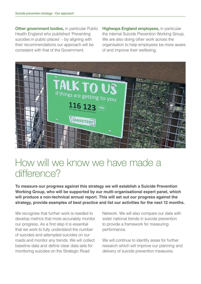**Other government bodies,** in particular Public Health England who published 'Preventing suicides in public places' – by aligning with their recommendations our approach will be consistent with that of the Government.

**Highways England employees,** in particular the internal Suicide Prevention Working Group. We are also doing other work across the organisation to help employees be more aware of and improve their wellbeing.



### How will we know we have made a difference?

**To measure our progress against this strategy we will establish a Suicide Prevention Working Group, who will be supported by our multi-organisational expert panel, which will produce a non-technical annual report. This will set out our progress against the strategy, provide examples of best practice and list our activities for the next 12 months.**

We recognise that further work is needed to develop metrics that more accurately monitor our progress. As a first step it is essential that we work to fully understand the number of suicides and attempted suicides on our roads and monitor any trends. We will collect baseline data and define clear data sets for monitoring suicides on the Strategic Road

Network. We will also compare our data with wider national trends in suicide prevention to provide a framework for measuring performance.

We will continue to identify areas for further research which will improve our planning and delivery of suicide prevention measures.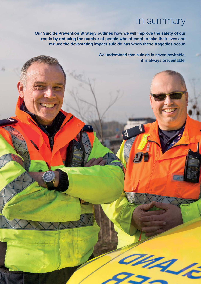### In summary

ang p

**Our Suicide Prevention Strategy outlines how we will improve the safety of our roads by reducing the number of people who attempt to take their lives and reduce the devastating impact suicide has when these tragedies occur.**

> **We understand that suicide is never inevitable, it is always preventable.**